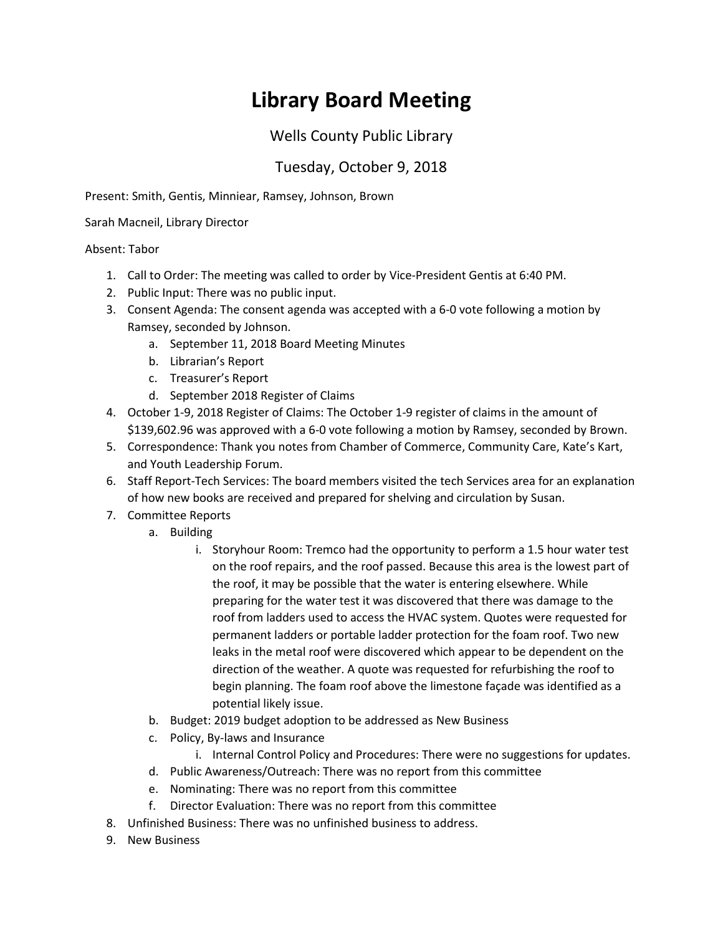## **Library Board Meeting**

## Wells County Public Library

## Tuesday, October 9, 2018

Present: Smith, Gentis, Minniear, Ramsey, Johnson, Brown

Sarah Macneil, Library Director

## Absent: Tabor

- 1. Call to Order: The meeting was called to order by Vice-President Gentis at 6:40 PM.
- 2. Public Input: There was no public input.
- 3. Consent Agenda: The consent agenda was accepted with a 6-0 vote following a motion by Ramsey, seconded by Johnson.
	- a. September 11, 2018 Board Meeting Minutes
	- b. Librarian's Report
	- c. Treasurer's Report
	- d. September 2018 Register of Claims
- 4. October 1-9, 2018 Register of Claims: The October 1-9 register of claims in the amount of \$139,602.96 was approved with a 6-0 vote following a motion by Ramsey, seconded by Brown.
- 5. Correspondence: Thank you notes from Chamber of Commerce, Community Care, Kate's Kart, and Youth Leadership Forum.
- 6. Staff Report-Tech Services: The board members visited the tech Services area for an explanation of how new books are received and prepared for shelving and circulation by Susan.
- 7. Committee Reports
	- a. Building
		- i. Storyhour Room: Tremco had the opportunity to perform a 1.5 hour water test on the roof repairs, and the roof passed. Because this area is the lowest part of the roof, it may be possible that the water is entering elsewhere. While preparing for the water test it was discovered that there was damage to the roof from ladders used to access the HVAC system. Quotes were requested for permanent ladders or portable ladder protection for the foam roof. Two new leaks in the metal roof were discovered which appear to be dependent on the direction of the weather. A quote was requested for refurbishing the roof to begin planning. The foam roof above the limestone façade was identified as a potential likely issue.
	- b. Budget: 2019 budget adoption to be addressed as New Business
	- c. Policy, By-laws and Insurance
		- i. Internal Control Policy and Procedures: There were no suggestions for updates.
	- d. Public Awareness/Outreach: There was no report from this committee
	- e. Nominating: There was no report from this committee
	- f. Director Evaluation: There was no report from this committee
- 8. Unfinished Business: There was no unfinished business to address.
- 9. New Business